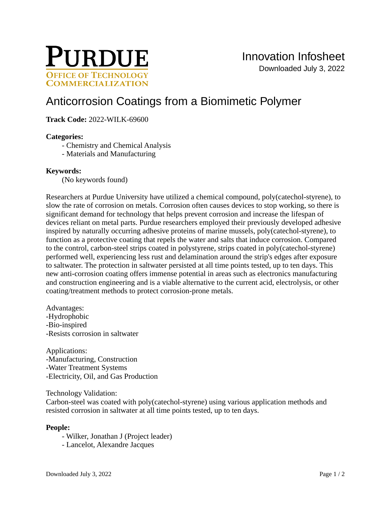

# [Anticorrosion Coatings from a Biomimetic Polymer](https://inventions.prf.org/innovation/8212)

# **Track Code:** 2022-WILK-69600

#### **Categories:**

- Chemistry and Chemical Analysis
- Materials and Manufacturing

#### **Keywords:**

(No keywords found)

Researchers at Purdue University have utilized a chemical compound, poly(catechol-styrene), to slow the rate of corrosion on metals. Corrosion often causes devices to stop working, so there is significant demand for technology that helps prevent corrosion and increase the lifespan of devices reliant on metal parts. Purdue researchers employed their previously developed adhesive inspired by naturally occurring adhesive proteins of marine mussels, poly(catechol-styrene), to function as a protective coating that repels the water and salts that induce corrosion. Compared to the control, carbon-steel strips coated in polystyrene, strips coated in poly(catechol-styrene) performed well, experiencing less rust and delamination around the strip's edges after exposure to saltwater. The protection in saltwater persisted at all time points tested, up to ten days. This new anti-corrosion coating offers immense potential in areas such as electronics manufacturing and construction engineering and is a viable alternative to the current acid, electrolysis, or other coating/treatment methods to protect corrosion-prone metals.

Advantages: -Hydrophobic -Bio-inspired -Resists corrosion in saltwater

Applications: -Manufacturing, Construction -Water Treatment Systems -Electricity, Oil, and Gas Production

Technology Validation:

Carbon-steel was coated with poly(catechol-styrene) using various application methods and resisted corrosion in saltwater at all time points tested, up to ten days.

# **People:**

- Wilker, Jonathan J (Project leader)
- Lancelot, Alexandre Jacques